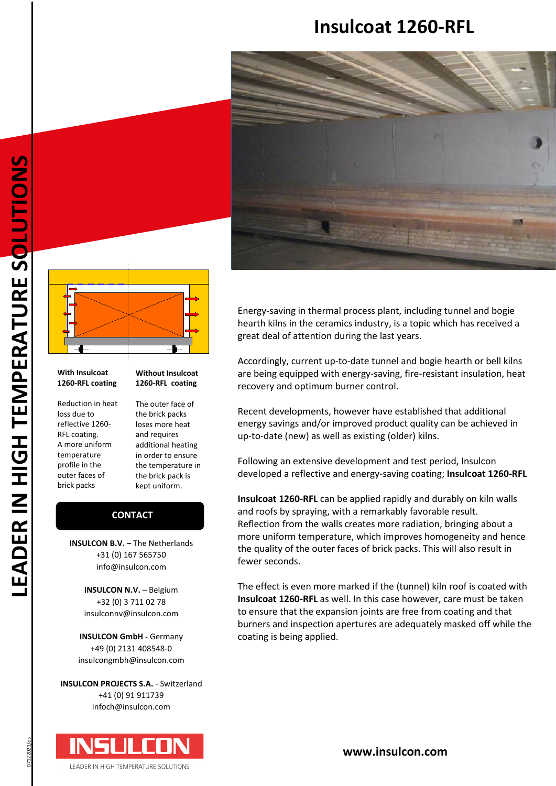# **Insulcoat 1260-RFL**





#### **With Insulcoat 1260-RFL coating**

Reduction in heat loss due to reflective 1260- RFL coating. A more uniform temperature profile in the outer faces of brick packs

**Without Insulcoat 1260-RFL coating**

The outer face of the brick packs loses more heat and requires additional heating in order to ensure the temperature in the brick pack is kept uniform.

#### **CONTACT CONTACT**

**INSULCON B.V.** – The Netherlands +31 (0) 167 565750 info@insulcon.com

> **INSULCON N.V. - Belgium** +32 (0) 3 711 02 78 insulconnv@insulcon.com

**INSULCON GmbH -** Germany +49 (0) 2131 408548-0 insulcongmbh@insulcon.com

**INSULCON PROJECTS S.A.** - Switzerland +41 (0) 91 911739 infoch@insulcon.com



Energy-saving in thermal process plant, including tunnel and bogie hearth kilns in the ceramics industry, is a topic which has received a great deal of attention during the last years.

Accordingly, current up-to-date tunnel and bogie hearth or bell kilns are being equipped with energy-saving, fire-resistant insulation, heat recovery and optimum burner control.

Recent developments, however have established that additional energy savings and/or improved product quality can be achieved in up-to-date (new) as well as existing (older) kilns.

Following an extensive development and test period, Insulcon developed a reflective and energy-saving coating; **Insulcoat 1260-RFL**

**Insulcoat 1260-RFL** can be applied rapidly and durably on kiln walls and roofs by spraying, with a remarkably favorable result. Reflection from the walls creates more radiation, bringing about a more uniform temperature, which improves homogeneity and hence the quality of the outer faces of brick packs. This will also result in fewer seconds.

The effect is even more marked if the (tunnel) kiln roof is coated with **Insulcoat 1260-RFL** as well. In this case however, care must be taken to ensure that the expansion joints are free from coating and that burners and inspection apertures are adequately masked off while the coating is being applied.

**[www.insulcon.com](http://www.insulcon.com/)**

07122021/es , רמככו דר